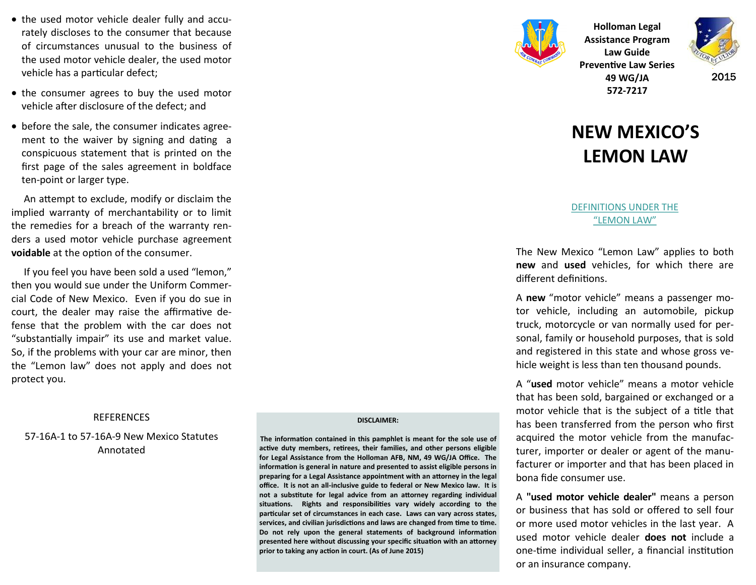- the used motor vehicle dealer fully and accurately discloses to the consumer that because of circumstances unusual to the business of the used motor vehicle dealer, the used motor vehicle has a particular defect;
- the consumer agrees to buy the used motor vehicle after disclosure of the defect; and
- before the sale, the consumer indicates agreement to the waiver by signing and dating a conspicuous statement that is printed on the first page of the sales agreement in boldface ten-point or larger type.

 An attempt to exclude, modify or disclaim the implied warranty of merchantability or to limit the remedies for a breach of the warranty renders a used motor vehicle purchase agreement **voidable** at the option of the consumer.

 If you feel you have been sold a used "lemon," then you would sue under the Uniform Commercial Code of New Mexico. Even if you do sue in court, the dealer may raise the affirmative defense that the problem with the car does not "substantially impair" its use and market value. So, if the problems with your car are minor, then the "Lemon law" does not apply and does not protect you.

### REFERENCES

57-16A-1 to 57-16A-9 New Mexico Statutes Annotated

#### **DISCLAIMER:**

**The information contained in this pamphlet is meant for the sole use of active duty members, retirees, their families, and other persons eligible for Legal Assistance from the Holloman AFB, NM, 49 WG/JA Office. The information is general in nature and presented to assist eligible persons in preparing for a Legal Assistance appointment with an attorney in the legal office. It is not an all-inclusive guide to federal or New Mexico law. It is not a substitute for legal advice from an attorney regarding individual situations. Rights and responsibilities vary widely according to the particular set of circumstances in each case. Laws can vary across states, services, and civilian jurisdictions and laws are changed from time to time. Do not rely upon the general statements of background information presented here without discussing your specific situation with an attorney prior to taking any action in court. (As of June 2015)**



**Holloman Legal Assistance Program Law Guide Preventive Law Series 49 WG/JA 572-7217**



2015

# **NEW MEXICO'S LEMON LAW**

### DEFINITIONS UNDER THE "LEMON LAW"

The New Mexico "Lemon Law" applies to both **new** and **used** vehicles, for which there are different definitions.

A **new** "motor vehicle" means a passenger motor vehicle, including an automobile, pickup truck, motorcycle or van normally used for personal, family or household purposes, that is sold and registered in this state and whose gross vehicle weight is less than ten thousand pounds.

A "**used** motor vehicle" means a motor vehicle that has been sold, bargained or exchanged or a motor vehicle that is the subject of a title that has been transferred from the person who first acquired the motor vehicle from the manufacturer, importer or dealer or agent of the manufacturer or importer and that has been placed in bona fide consumer use.

A **"used motor vehicle dealer"** means a person or business that has sold or offered to sell four or more used motor vehicles in the last year. A used motor vehicle dealer **does not** include a one-time individual seller, a financial institution or an insurance company.